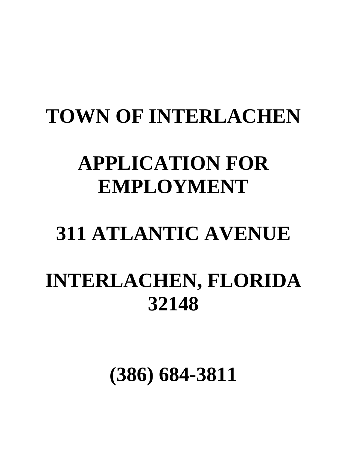# **TOWN OF INTERLACHEN**

## **APPLICATION FOR EMPLOYMENT**

# **311 ATLANTIC AVENUE**

## **INTERLACHEN, FLORIDA 32148**

**(386) 684-3811**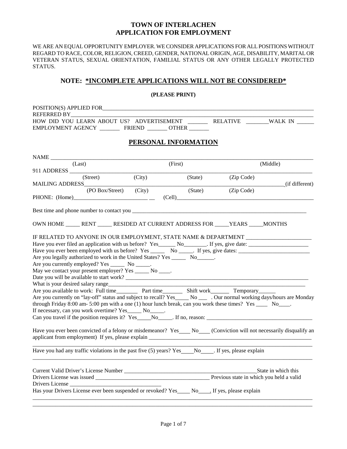#### **TOWN OF INTERLACHEN APPLICATION FOR EMPLOYMENT**

WE ARE AN EQUAL OPPORTUNITY EMPLOYER. WE CONSIDER APPLICATIONS FOR ALL POSITIONS WITHOUT REGARD TO RACE, COLOR, RELIGION, CREED, GENDER, NATIONAL ORIGIN, AGE, DISABILITY, MARITAL OR VETERAN STATUS, SEXUAL ORIENTATION, FAMILIAL STATUS OR ANY OTHER LEGALLY PROTECTED STATUS.

#### **NOTE: \*INCOMPLETE APPLICATIONS WILL NOT BE CONSIDERED\***

**(PLEASE PRINT)**

| <b>REFERRED BY</b>                                                                                                                                                                                                                                                                                                                                                                                                                                                                                                                                                                                                                                                                                                                                                                                                                 |          |                                                                                                                        |                             |         |            |                                                                                   |
|------------------------------------------------------------------------------------------------------------------------------------------------------------------------------------------------------------------------------------------------------------------------------------------------------------------------------------------------------------------------------------------------------------------------------------------------------------------------------------------------------------------------------------------------------------------------------------------------------------------------------------------------------------------------------------------------------------------------------------------------------------------------------------------------------------------------------------|----------|------------------------------------------------------------------------------------------------------------------------|-----------------------------|---------|------------|-----------------------------------------------------------------------------------|
|                                                                                                                                                                                                                                                                                                                                                                                                                                                                                                                                                                                                                                                                                                                                                                                                                                    |          |                                                                                                                        |                             |         |            | HOW DID YOU LEARN ABOUT US? ADVERTISEMENT _________ RELATIVE _______WALK IN _____ |
|                                                                                                                                                                                                                                                                                                                                                                                                                                                                                                                                                                                                                                                                                                                                                                                                                                    |          | EMPLOYMENT AGENCY ____________ FRIEND ________ OTHER ________                                                          |                             |         |            |                                                                                   |
|                                                                                                                                                                                                                                                                                                                                                                                                                                                                                                                                                                                                                                                                                                                                                                                                                                    |          |                                                                                                                        | <b>PERSONAL INFORMATION</b> |         |            |                                                                                   |
|                                                                                                                                                                                                                                                                                                                                                                                                                                                                                                                                                                                                                                                                                                                                                                                                                                    |          |                                                                                                                        |                             |         |            |                                                                                   |
|                                                                                                                                                                                                                                                                                                                                                                                                                                                                                                                                                                                                                                                                                                                                                                                                                                    | (Last)   |                                                                                                                        | (First)                     |         |            | (Middle)                                                                          |
| MAILING ADDRESS____________                                                                                                                                                                                                                                                                                                                                                                                                                                                                                                                                                                                                                                                                                                                                                                                                        | (Street) | (City)                                                                                                                 |                             | (State) | (Zip Code) | (if different)                                                                    |
|                                                                                                                                                                                                                                                                                                                                                                                                                                                                                                                                                                                                                                                                                                                                                                                                                                    |          | (PO Box/Street) (City) (State)                                                                                         |                             |         | (Zip Code) |                                                                                   |
|                                                                                                                                                                                                                                                                                                                                                                                                                                                                                                                                                                                                                                                                                                                                                                                                                                    |          |                                                                                                                        |                             |         |            |                                                                                   |
|                                                                                                                                                                                                                                                                                                                                                                                                                                                                                                                                                                                                                                                                                                                                                                                                                                    |          | OWN HOME ______ RENT _______ RESIDED AT CURRENT ADDRESS FOR _____ YEARS _____ MONTHS                                   |                             |         |            |                                                                                   |
| IF RELATED TO ANYONE IN OUR EMPLOYMENT, STATE NAME & DEPARTMENT _________________<br>Are you legally authorized to work in the United States? Yes ________ No_______.<br>Are you currently employed? Yes ________ No ______.<br>May we contact your present employer? Yes ______ No ____.<br>Are you available to work: Full time____________ Part time___________ Shift work__________ Temporary_________<br>Are you currently on "lay-off" status and subject to recall? Yes____ No ___ . Our normal working days/hours are Monday<br>through Friday 8:00 am- 5:00 pm with a one (1) hour lunch break, can you work these times? Yes _____ No____.<br>If necessary, can you work overtime? Yes ______ No______.<br>Have you ever been convicted of a felony or misdemeanor? Yes No Conviction will not necessarily disqualify an |          |                                                                                                                        |                             |         |            |                                                                                   |
|                                                                                                                                                                                                                                                                                                                                                                                                                                                                                                                                                                                                                                                                                                                                                                                                                                    |          |                                                                                                                        |                             |         |            |                                                                                   |
|                                                                                                                                                                                                                                                                                                                                                                                                                                                                                                                                                                                                                                                                                                                                                                                                                                    |          | Drivers License<br>Has your Drivers License ever been suspended or revoked? Yes _____ No _____. If yes, please explain |                             |         |            |                                                                                   |
|                                                                                                                                                                                                                                                                                                                                                                                                                                                                                                                                                                                                                                                                                                                                                                                                                                    |          |                                                                                                                        |                             |         |            |                                                                                   |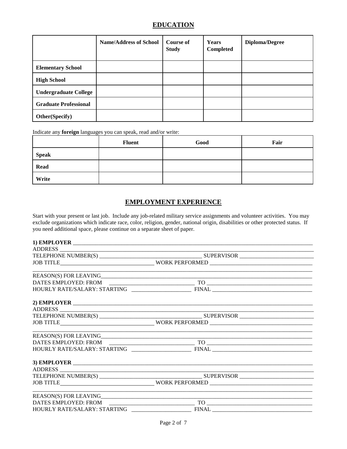## **EDUCATION**

|                              | <b>Name/Address of School</b> | Course of<br><b>Study</b> | Years<br>Completed | Diploma/Degree |
|------------------------------|-------------------------------|---------------------------|--------------------|----------------|
| <b>Elementary School</b>     |                               |                           |                    |                |
| <b>High School</b>           |                               |                           |                    |                |
| <b>Undergraduate College</b> |                               |                           |                    |                |
| <b>Graduate Professional</b> |                               |                           |                    |                |
| <b>Other(Specify)</b>        |                               |                           |                    |                |

Indicate any **foreign** languages you can speak, read and/or write:

|              | <b>Fluent</b> | Good | Fair |
|--------------|---------------|------|------|
| <b>Speak</b> |               |      |      |
| <b>Read</b>  |               |      |      |
| Write        |               |      |      |

## **EMPLOYMENT EXPERIENCE**

Start with your present or last job. Include any job-related military service assignments and volunteer activities. You may exclude organizations which indicate race, color, religion, gender, national origin, disabilities or other protected status. If you need additional space, please continue on a separate sheet of paper.

| REASON(S) FOR LEAVING |  |
|-----------------------|--|
|                       |  |
|                       |  |
|                       |  |
| ADDRESS               |  |
|                       |  |
|                       |  |
| REASON(S) FOR LEAVING |  |
|                       |  |
|                       |  |
|                       |  |
|                       |  |
|                       |  |
|                       |  |
|                       |  |
|                       |  |
|                       |  |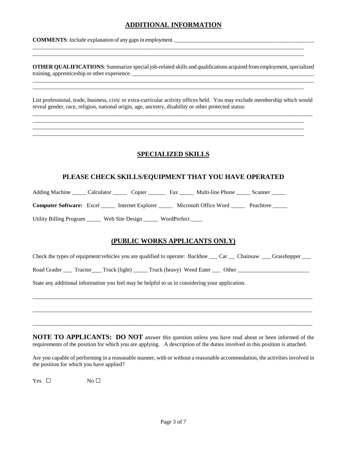## **ADDITIONAL INFORMATION**

\_\_\_\_\_\_\_\_\_\_\_\_\_\_\_\_\_\_\_\_\_\_\_\_\_\_\_\_\_\_\_\_\_\_\_\_\_\_\_\_\_\_\_\_\_\_\_\_\_\_\_\_\_\_\_\_\_\_\_\_\_\_\_\_\_\_\_\_\_\_\_\_\_\_\_\_\_\_\_\_\_\_\_\_\_\_\_\_\_\_\_\_\_\_\_ \_\_\_\_\_\_\_\_\_\_\_\_\_\_\_\_\_\_\_\_\_\_\_\_\_\_\_\_\_\_\_\_\_\_\_\_\_\_\_\_\_\_\_\_\_\_\_\_\_\_\_\_\_\_\_\_\_\_\_\_\_\_\_\_\_\_\_\_\_\_\_\_\_\_\_\_\_\_\_\_\_\_\_\_\_\_\_\_\_\_\_\_\_\_\_

\_\_\_\_\_\_\_\_\_\_\_\_\_\_\_\_\_\_\_\_\_\_\_\_\_\_\_\_\_\_\_\_\_\_\_\_\_\_\_\_\_\_\_\_\_\_\_\_\_\_\_\_\_\_\_\_\_\_\_\_\_\_\_\_\_\_\_\_\_\_\_\_\_\_\_\_\_\_\_\_\_\_\_\_\_\_\_\_\_\_\_\_\_\_\_

\_\_\_\_\_\_\_\_\_\_\_\_\_\_\_\_\_\_\_\_\_\_\_\_\_\_\_\_\_\_\_\_\_\_\_\_\_\_\_\_\_\_\_\_\_\_\_\_\_\_\_\_\_\_\_\_\_\_\_\_\_\_\_\_\_\_\_\_\_\_\_\_\_\_\_\_\_\_\_\_\_\_\_\_\_\_\_\_\_\_\_\_\_\_\_ \_\_\_\_\_\_\_\_\_\_\_\_\_\_\_\_\_\_\_\_\_\_\_\_\_\_\_\_\_\_\_\_\_\_\_\_\_\_\_\_\_\_\_\_\_\_\_\_\_\_\_\_\_\_\_\_\_\_\_\_\_\_\_\_\_\_\_\_\_\_\_\_\_\_\_\_\_\_\_\_\_\_\_\_\_\_\_\_\_\_\_\_\_\_\_ \_\_\_\_\_\_\_\_\_\_\_\_\_\_\_\_\_\_\_\_\_\_\_\_\_\_\_\_\_\_\_\_\_\_\_\_\_\_\_\_\_\_\_\_\_\_\_\_\_\_\_\_\_\_\_\_\_\_\_\_\_\_\_\_\_\_\_\_\_\_\_\_\_\_\_\_\_\_\_\_\_\_\_\_\_\_\_\_\_\_\_\_\_\_\_

**COMMENTS**: Include explanation of any gaps in employment. \_\_\_\_\_\_\_\_\_\_\_\_\_\_\_\_\_\_\_\_\_\_\_\_\_\_\_\_\_\_\_\_\_\_\_\_\_\_\_\_\_\_\_\_\_\_\_\_\_\_

**OTHER QUALIFICATIONS:** Summarize special job-related skills and qualifications acquired from employment, specialized training, apprenticeship or other experience. \_\_\_\_\_\_\_\_\_\_\_\_\_\_\_\_\_\_\_\_\_\_\_\_\_\_\_\_\_\_\_\_\_\_\_\_\_\_\_\_\_\_\_\_\_\_\_\_\_\_\_\_\_\_\_\_\_\_\_\_\_\_\_\_\_\_\_\_\_\_\_\_\_\_\_\_\_\_\_\_\_\_\_\_\_\_\_\_\_\_\_\_\_\_\_\_\_\_\_\_\_

List professional, trade, business, civic or extra-curricular activity offices held. You may exclude membership which would reveal gender, race, religion, national origin, age, ancestry, disability or other protected status: \_\_\_\_\_\_\_\_\_\_\_\_\_\_\_\_\_\_\_\_\_\_\_\_\_\_\_\_\_\_\_\_\_\_\_\_\_\_\_\_\_\_\_\_\_\_\_\_\_\_\_\_\_\_\_\_\_\_\_\_\_\_\_\_\_\_\_\_\_\_\_\_\_\_\_\_\_\_\_\_\_\_\_\_\_\_\_\_\_\_\_\_\_\_\_\_\_\_

## **SPECIALIZED SKILLS**

#### **PLEASE CHECK SKILLS/EQUIPMENT THAT YOU HAVE OPERATED**

Adding Machine \_\_\_\_\_ Calculator \_\_\_\_\_\_ Copier \_\_\_\_\_\_\_ Fax \_\_\_\_\_\_ Multi-line Phone \_\_\_\_\_ Scanner \_\_\_\_

**Computer Software:** Excel \_\_\_\_\_ Internet Explorer \_\_\_\_\_ Microsoft Office Word \_\_\_\_\_ Peachtree \_\_\_\_

Utility Billing Program \_\_\_\_\_ Web Site Design \_\_\_\_\_ WordPerfect \_\_\_\_

### **(PUBLIC WORKS APPLICANTS ONLY)**

Check the types of equipment/vehicles you are qualified to operate: Backhoe  $\quad$  Car  $\quad$  Chainsaw  $\quad$  Grasshopper

Road Grader \_\_\_ Tractor \_\_\_ Truck (light) \_\_\_\_\_ Truck (heavy) Weed Eater \_\_\_ Other \_\_\_\_\_\_\_\_\_\_\_\_\_\_\_\_\_\_\_\_\_\_\_\_\_\_\_

\_\_\_\_\_\_\_\_\_\_\_\_\_\_\_\_\_\_\_\_\_\_\_\_\_\_\_\_\_\_\_\_\_\_\_\_\_\_\_\_\_\_\_\_\_\_\_\_\_\_\_\_\_\_\_\_\_\_\_\_\_\_\_\_\_\_\_\_\_\_\_\_\_\_\_\_\_\_\_\_\_\_\_\_\_\_\_\_\_\_\_\_\_\_\_\_\_\_

\_\_\_\_\_\_\_\_\_\_\_\_\_\_\_\_\_\_\_\_\_\_\_\_\_\_\_\_\_\_\_\_\_\_\_\_\_\_\_\_\_\_\_\_\_\_\_\_\_\_\_\_\_\_\_\_\_\_\_\_\_\_\_\_\_\_\_\_\_\_\_\_\_\_\_\_\_\_\_\_\_\_\_\_\_\_\_\_\_\_\_\_\_\_\_\_\_\_

\_\_\_\_\_\_\_\_\_\_\_\_\_\_\_\_\_\_\_\_\_\_\_\_\_\_\_\_\_\_\_\_\_\_\_\_\_\_\_\_\_\_\_\_\_\_\_\_\_\_\_\_\_\_\_\_\_\_\_\_\_\_\_\_\_\_\_\_\_\_\_\_\_\_\_\_\_\_\_\_\_\_\_\_\_\_\_\_\_\_\_\_\_\_\_\_\_\_

State any additional information you feel may be helpful to us in considering your application.

**NOTE TO APPLICANTS: DO NOT** answer this question unless you have read about or been informed of the requirements of the position for which you are applying. A description of the duties involved in this position is attached.

Are you capable of performing in a reasonable manner, with or without a reasonable accommodation, the activities involved in the position for which you have applied?

Yes  $\square$  No  $\square$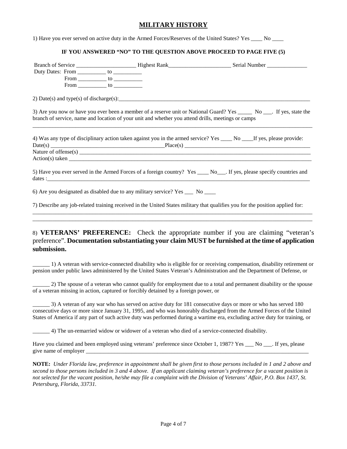#### **MILITARY HISTORY**

1) Have you ever served on active duty in the Armed Forces/Reserves of the United States? Yes \_\_\_\_ No \_\_\_\_

#### **IF YOU ANSWERED "NO" TO THE QUESTION ABOVE PROCEED TO PAGE FIVE (5)**

|             |                                                                                                    | 3) Are you now or have you ever been a member of a reserve unit or National Guard? Yes _______ No ____. If yes, state the                                                                                                                        |
|-------------|----------------------------------------------------------------------------------------------------|--------------------------------------------------------------------------------------------------------------------------------------------------------------------------------------------------------------------------------------------------|
|             | branch of service, name and location of your unit and whether you attend drills, meetings or camps |                                                                                                                                                                                                                                                  |
|             |                                                                                                    | 4) Was any type of disciplinary action taken against you in the armed service? Yes _____ No ____If yes, please provide:<br>$Date(s)$ $\qquad \qquad \text{Place}(s)$                                                                             |
|             |                                                                                                    |                                                                                                                                                                                                                                                  |
|             |                                                                                                    |                                                                                                                                                                                                                                                  |
|             |                                                                                                    | 5) Have you ever served in the Armed Forces of a foreign country? Yes ____ No___. If yes, please specify countries and                                                                                                                           |
|             | 6) Are you designated as disabled due to any military service? Yes ___ No ___                      |                                                                                                                                                                                                                                                  |
|             |                                                                                                    | 7) Describe any job-related training received in the United States military that qualifies you for the position applied for:                                                                                                                     |
|             |                                                                                                    |                                                                                                                                                                                                                                                  |
| submission. |                                                                                                    | 8) VETERANS' PREFERENCE: Check the appropriate number if you are claiming "veteran's<br>preference". Documentation substantiating your claim MUST be furnished at the time of application                                                        |
|             |                                                                                                    | 1) A veteran with service-connected disability who is eligible for or receiving compensation, disability retirement or<br>pension under public laws administered by the United States Veteran's Administration and the Department of Defense, or |

\_\_\_\_\_\_ 2) The spouse of a veteran who cannot qualify for employment due to a total and permanent disability or the spouse of a veteran missing in action, captured or forcibly detained by a foreign power, or

\_\_\_\_\_\_ 3) A veteran of any war who has served on active duty for 181 consecutive days or more or who has served 180 consecutive days or more since January 31, 1995, and who was honorably discharged from the Armed Forces of the United States of America if any part of such active duty was performed during a wartime era, excluding active duty for training, or

\_\_\_\_\_\_ 4) The un-remarried widow or widower of a veteran who died of a service-connected disability.

Have you claimed and been employed using veterans' preference since October 1, 1987? Yes No . If yes, please give name of employer  $\overline{\phantom{a}}$ 

**NOTE:** *Under Florida law, preference in appointment shall be given first to those persons included in 1 and 2 above and second to those persons included in 3 and 4 above. If an applicant claiming veteran's preference for a vacant position is not selected for the vacant position, he/she may file a complaint with the Division of Veterans' Affair, P.O. Box 1437, St. Petersburg, Florida, 33731.*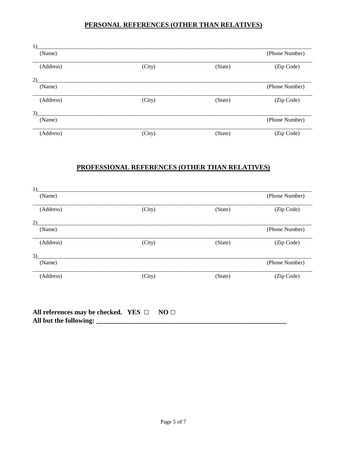## PERSONAL REFERENCES (OTHER THAN RELATIVES)

| 1)        |        |         |                |
|-----------|--------|---------|----------------|
| (Name)    |        |         | (Phone Number) |
| (Address) | (City) | (State) | (Zip Code)     |
| 2)        |        |         |                |
| (Name)    |        |         | (Phone Number) |
| (Address) | (City) | (State) | (Zip Code)     |
| 3)        |        |         |                |
| (Name)    |        |         | (Phone Number) |
| (Address) | (City) | (State) | (Zip Code)     |

## PROFESSIONAL REFERENCES (OTHER THAN RELATIVES)

| 1)        |        |         |                |
|-----------|--------|---------|----------------|
| (Name)    |        |         | (Phone Number) |
| (Address) | (City) | (State) | (Zip Code)     |
| 2)        |        |         |                |
| (Name)    |        |         | (Phone Number) |
| (Address) | (City) | (State) | (Zip Code)     |
| 3)        |        |         |                |
| (Name)    |        |         | (Phone Number) |
| (Address) | (City) | (State) | (Zip Code)     |
|           |        |         |                |

| All references may be checked. YES $\Box$ NO $\Box$ |  |
|-----------------------------------------------------|--|
| All but the following:                              |  |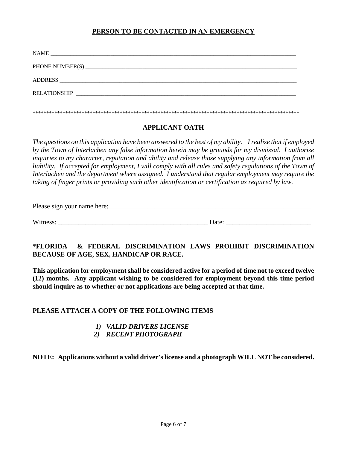## **PERSON TO BE CONTACTED IN AN EMERGENCY**

| <b>NAME</b>         |
|---------------------|
|                     |
| <b>ADDRESS</b>      |
| <b>RELATIONSHIP</b> |
|                     |

#### **APPLICANT OATH**

*The questions on this application have been answered to the best of my ability. I realize that if employed by the Town of Interlachen any false information herein may be grounds for my dismissal. I authorize inquiries to my character, reputation and ability and release those supplying any information from all liability. If accepted for employment, I will comply with all rules and safety regulations of the Town of Interlachen and the department where assigned. I understand that regular employment may require the taking of finger prints or providing such other identification or certification as required by law.* 

| Please sign your name here: |
|-----------------------------|
|-----------------------------|

Witness: <u>Date:</u> 2002. **Date:** 2004. **Date:** 2004. **Date:** 2004. **Date:** 2004. **Date:** 2004. **Date:** 2004. **Date:** 2004. **Date:** 2004. **Date:** 2004. **Date:** 2004. **Date:** 2004. **Date:** 2004. **Date:** 2004. **Date:** 2004. **Da** 

## **\*FLORIDA & FEDERAL DISCRIMINATION LAWS PROHIBIT DISCRIMINATION BECAUSE OF AGE, SEX, HANDICAP OR RACE.**

**This application for employment shall be considered active for a period of time not to exceed twelve (12) months. Any applicant wishing to be considered for employment beyond this time period should inquire as to whether or not applications are being accepted at that time.**

### **PLEASE ATTACH A COPY OF THE FOLLOWING ITEMS**

## *1) VALID DRIVERS LICENSE*

 *2) RECENT PHOTOGRAPH*

**NOTE: Applications without a valid driver's license and a photograph WILL NOT be considered.**